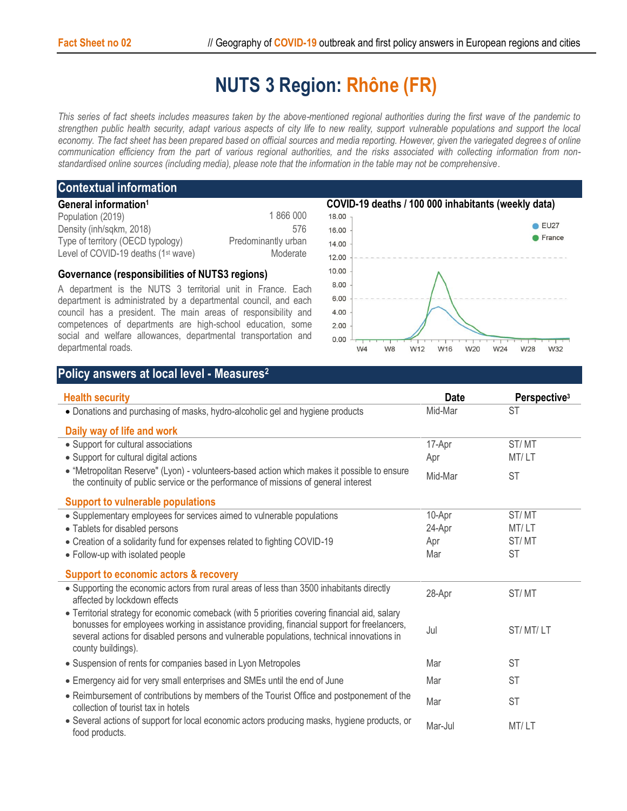# **NUTS 3 Region: Rhône (FR)**

*This series of fact sheets includes measures taken by the above-mentioned regional authorities during the first wave of the pandemic to strengthen public health security, adapt various aspects of city life to new reality, support vulnerable populations and support the local economy. The fact sheet has been prepared based on official sources and media reporting. However, given the variegated degrees of online communication efficiency from the part of various regional authorities, and the risks associated with collecting information from nonstandardised online sources (including media), please note that the information in the table may not be comprehensive*.

### **Contextual information**

| General information <sup>1</sup>                |                     |
|-------------------------------------------------|---------------------|
| Population (2019)                               | 1866000             |
| Density (inh/sqkm, 2018)                        | 576                 |
| Type of territory (OECD typology)               | Predominantly urban |
| Level of COVID-19 deaths (1 <sup>st</sup> wave) | Moderate            |

#### **Governance (responsibilities of NUTS3 regions)**

A department is the NUTS 3 territorial unit in France. Each department is administrated by a departmental council, and each council has a president. The main areas of responsibility and competences of departments are high-school education, some social and welfare allowances, departmental transportation and departmental roads.



## **Policy answers at local level - Measures<sup>2</sup>**

| <b>Health security</b>                                                                                                                                                                                                                                                                                          | <b>Date</b> | Perspective <sup>3</sup> |
|-----------------------------------------------------------------------------------------------------------------------------------------------------------------------------------------------------------------------------------------------------------------------------------------------------------------|-------------|--------------------------|
| · Donations and purchasing of masks, hydro-alcoholic gel and hygiene products                                                                                                                                                                                                                                   | Mid-Mar     | <b>ST</b>                |
| Daily way of life and work                                                                                                                                                                                                                                                                                      |             |                          |
| • Support for cultural associations                                                                                                                                                                                                                                                                             | 17-Apr      | ST/MT                    |
| • Support for cultural digital actions                                                                                                                                                                                                                                                                          | Apr         | MT/LT                    |
| • "Metropolitan Reserve" (Lyon) - volunteers-based action which makes it possible to ensure<br>the continuity of public service or the performance of missions of general interest                                                                                                                              | Mid-Mar     | <b>ST</b>                |
| <b>Support to vulnerable populations</b>                                                                                                                                                                                                                                                                        |             |                          |
| • Supplementary employees for services aimed to vulnerable populations                                                                                                                                                                                                                                          | 10-Apr      | ST/MT                    |
| • Tablets for disabled persons                                                                                                                                                                                                                                                                                  | 24-Apr      | MT/LT                    |
| • Creation of a solidarity fund for expenses related to fighting COVID-19                                                                                                                                                                                                                                       | Apr         | ST/MT                    |
| • Follow-up with isolated people                                                                                                                                                                                                                                                                                | Mar         | <b>ST</b>                |
| <b>Support to economic actors &amp; recovery</b>                                                                                                                                                                                                                                                                |             |                          |
| • Supporting the economic actors from rural areas of less than 3500 inhabitants directly<br>affected by lockdown effects                                                                                                                                                                                        | 28-Apr      | ST/MT                    |
| • Territorial strategy for economic comeback (with 5 priorities covering financial aid, salary<br>bonusses for employees working in assistance providing, financial support for freelancers,<br>several actions for disabled persons and vulnerable populations, technical innovations in<br>county buildings). | Jul         | ST/MT/LT                 |
| • Suspension of rents for companies based in Lyon Metropoles                                                                                                                                                                                                                                                    | Mar         | <b>ST</b>                |
| • Emergency aid for very small enterprises and SMEs until the end of June                                                                                                                                                                                                                                       | Mar         | <b>ST</b>                |
| • Reimbursement of contributions by members of the Tourist Office and postponement of the<br>collection of tourist tax in hotels                                                                                                                                                                                | Mar         | <b>ST</b>                |
| • Several actions of support for local economic actors producing masks, hygiene products, or<br>food products.                                                                                                                                                                                                  | Mar-Jul     | MT/LT                    |